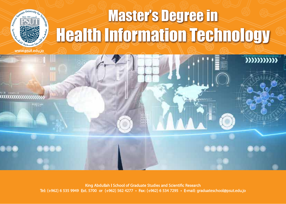## **Master's Degree in Health Information Technology**

 $3333333333$ 



King Abdullah I School of Graduate Studies and Scientific Research<br>Tel: (+962) 6 535 9949 Ext. 5700 or (+962) 562 4277 • Fax: (+962) 6 534 7295 • E-mail: graduateschool@psut.edu.jo